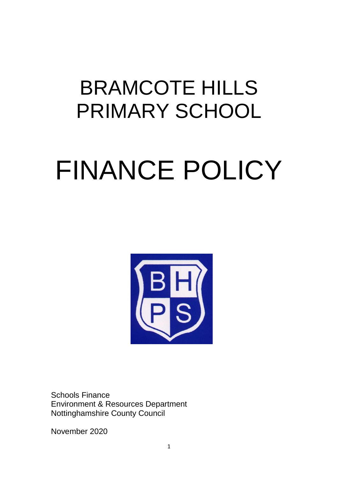# BRAMCOTE HILLS PRIMARY SCHOOL

# FINANCE POLICY



Schools Finance Environment & Resources Department Nottinghamshire County Council

November 2020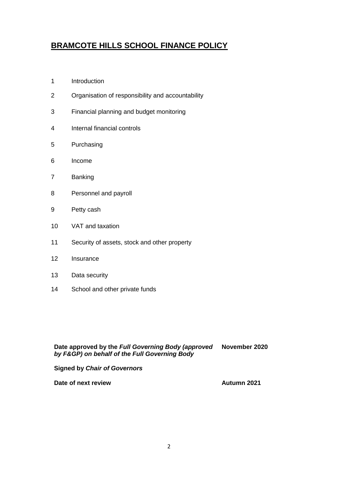# **BRAMCOTE HILLS SCHOOL FINANCE POLICY**

- Introduction
- Organisation of responsibility and accountability
- Financial planning and budget monitoring
- Internal financial controls
- Purchasing
- Income
- Banking
- Personnel and payroll
- Petty cash
- VAT and taxation
- Security of assets, stock and other property
- Insurance
- Data security
- School and other private funds

**Date approved by the** *Full Governing Body (approved by F&GP) on behalf of the Full Governing Body* **November 2020**

**Signed by** *Chair of Governors* 

**Date of next review Autumn 2021**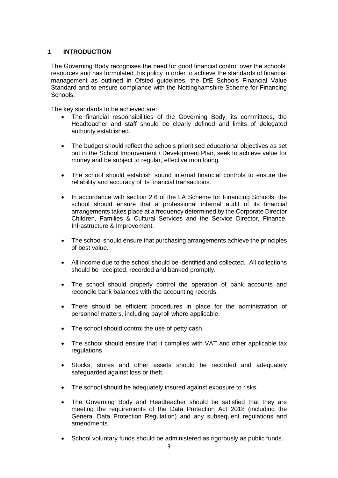# **1 INTRODUCTION**

The Governing Body recognises the need for good financial control over the schools' resources and has formulated this policy in order to achieve the standards of financial management as outlined in Ofsted guidelines, the DfE Schools Financial Value Standard and to ensure compliance with the Nottinghamshire Scheme for Financing Schools.

The key standards to be achieved are:

- The financial responsibilities of the Governing Body, its committees, the Headteacher and staff should be clearly defined and limits of delegated authority established.
- The budget should reflect the schools prioritised educational objectives as set out in the School Improvement / Development Plan, seek to achieve value for money and be subject to regular, effective monitoring.
- The school should establish sound internal financial controls to ensure the reliability and accuracy of its financial transactions.
- In accordance with section 2.6 of the LA Scheme for Financing Schools, the school should ensure that a professional internal audit of its financial arrangements takes place at a frequency determined by the Corporate Director Children, Families & Cultural Services and the Service Director, Finance, Infrastructure & Improvement.
- The school should ensure that purchasing arrangements achieve the principles of best value.
- All income due to the school should be identified and collected. All collections should be receipted, recorded and banked promptly.
- The school should properly control the operation of bank accounts and reconcile bank balances with the accounting records.
- There should be efficient procedures in place for the administration of personnel matters, including payroll where applicable.
- The school should control the use of petty cash.
- The school should ensure that it complies with VAT and other applicable tax regulations.
- Stocks, stores and other assets should be recorded and adequately safeguarded against loss or theft.
- The school should be adequately insured against exposure to risks.
- The Governing Body and Headteacher should be satisfied that they are meeting the requirements of the Data Protection Act 2018 (including the General Data Protection Regulation) and any subsequent regulations and amendments.
- School voluntary funds should be administered as rigorously as public funds.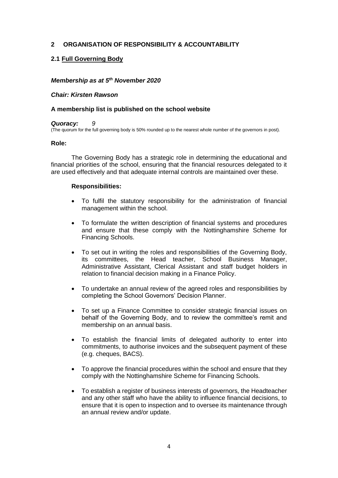#### **2 ORGANISATION OF RESPONSIBILITY & ACCOUNTABILITY**

#### **2.1 Full Governing Body**

#### *Membership as at 5 th November 2020*

#### *Chair: Kirsten Rawson*

#### **A membership list is published on the school website**

#### *Quoracy: 9*

(The quorum for the full governing body is 50% rounded up to the nearest whole number of the governors in post).

#### **Role:**

The Governing Body has a strategic role in determining the educational and financial priorities of the school, ensuring that the financial resources delegated to it are used effectively and that adequate internal controls are maintained over these.

#### **Responsibilities:**

- To fulfil the statutory responsibility for the administration of financial management within the school.
- To formulate the written description of financial systems and procedures and ensure that these comply with the Nottinghamshire Scheme for Financing Schools.
- To set out in writing the roles and responsibilities of the Governing Body, its committees, the Head teacher, School Business Manager, Administrative Assistant, Clerical Assistant and staff budget holders in relation to financial decision making in a Finance Policy.
- To undertake an annual review of the agreed roles and responsibilities by completing the School Governors' Decision Planner.
- To set up a Finance Committee to consider strategic financial issues on behalf of the Governing Body, and to review the committee's remit and membership on an annual basis.
- To establish the financial limits of delegated authority to enter into commitments, to authorise invoices and the subsequent payment of these (e.g. cheques, BACS).
- To approve the financial procedures within the school and ensure that they comply with the Nottinghamshire Scheme for Financing Schools.
- To establish a register of business interests of governors, the Headteacher and any other staff who have the ability to influence financial decisions, to ensure that it is open to inspection and to oversee its maintenance through an annual review and/or update.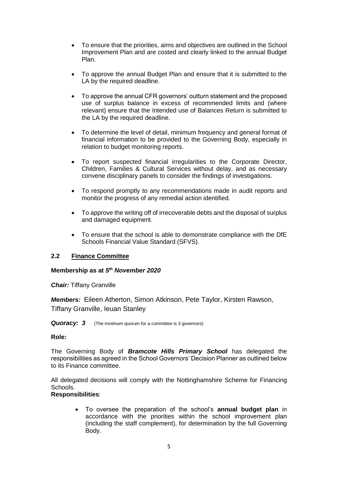- To ensure that the priorities, aims and objectives are outlined in the School Improvement Plan and are costed and clearly linked to the annual Budget Plan.
- To approve the annual Budget Plan and ensure that it is submitted to the LA by the required deadline.
- To approve the annual CFR governors' outturn statement and the proposed use of surplus balance in excess of recommended limits and (where relevant) ensure that the Intended use of Balances Return is submitted to the LA by the required deadline.
- To determine the level of detail, minimum frequency and general format of financial information to be provided to the Governing Body, especially in relation to budget monitoring reports.
- To report suspected financial irregularities to the Corporate Director, Children, Families & Cultural Services without delay, and as necessary convene disciplinary panels to consider the findings of investigations.
- To respond promptly to any recommendations made in audit reports and monitor the progress of any remedial action identified.
- To approve the writing off of irrecoverable debts and the disposal of surplus and damaged equipment.
- To ensure that the school is able to demonstrate compliance with the DfE Schools Financial Value Standard (SFVS).

#### **2.2 Finance Committee**

#### **Membership as at** *5 th November 2020*

*Chair:* Tiffany Granville

*Members:* Eileen Atherton, Simon Atkinson, Pete Taylor, Kirsten Rawson, Tiffany Granville, Ieuan Stanley

#### **Quoracy: 3** (The minimum quorum for a committee is 3 governors)

#### **Role:**

The Governing Body of *Bramcote Hills Primary School* has delegated the responsibilities as agreed in the School Governors' Decision Planner as outlined below to its Finance committee.

All delegated decisions will comply with the Nottinghamshire Scheme for Financing Schools.

#### **Responsibilities**:

• To oversee the preparation of the school's **annual budget plan** in accordance with the priorities within the school improvement plan (including the staff complement), for determination by the full Governing Body.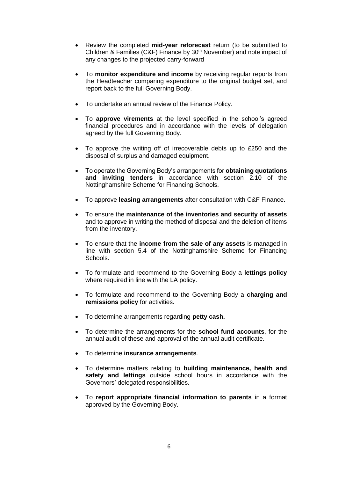- Review the completed **mid-year reforecast** return (to be submitted to Children & Families (C&F) Finance by 30<sup>th</sup> November) and note impact of any changes to the projected carry-forward
- To **monitor expenditure and income** by receiving regular reports from the Headteacher comparing expenditure to the original budget set, and report back to the full Governing Body.
- To undertake an annual review of the Finance Policy.
- To **approve virements** at the level specified in the school's agreed financial procedures and in accordance with the levels of delegation agreed by the full Governing Body.
- To approve the writing off of irrecoverable debts up to £250 and the disposal of surplus and damaged equipment.
- To operate the Governing Body's arrangements for **obtaining quotations and inviting tenders** in accordance with section 2.10 of the Nottinghamshire Scheme for Financing Schools.
- To approve **leasing arrangements** after consultation with C&F Finance.
- To ensure the **maintenance of the inventories and security of assets** and to approve in writing the method of disposal and the deletion of items from the inventory.
- To ensure that the **income from the sale of any assets** is managed in line with section 5.4 of the Nottinghamshire Scheme for Financing Schools.
- To formulate and recommend to the Governing Body a **lettings policy** where required in line with the LA policy.
- To formulate and recommend to the Governing Body a **charging and remissions policy** for activities.
- To determine arrangements regarding **petty cash.**
- To determine the arrangements for the **school fund accounts**, for the annual audit of these and approval of the annual audit certificate.
- To determine **insurance arrangements**.
- To determine matters relating to **building maintenance, health and safety and lettings** outside school hours in accordance with the Governors' delegated responsibilities.
- To **report appropriate financial information to parents** in a format approved by the Governing Body.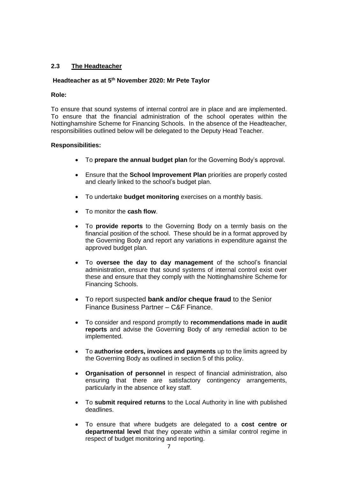## **2.3 The Headteacher**

#### **Headteacher as at 5th November 2020: Mr Pete Taylor**

#### **Role:**

To ensure that sound systems of internal control are in place and are implemented. To ensure that the financial administration of the school operates within the Nottinghamshire Scheme for Financing Schools. In the absence of the Headteacher, responsibilities outlined below will be delegated to the Deputy Head Teacher*.*

#### **Responsibilities:**

- To **prepare the annual budget plan** for the Governing Body's approval.
- Ensure that the **School Improvement Plan** priorities are properly costed and clearly linked to the school's budget plan.
- To undertake **budget monitoring** exercises on a monthly basis.
- To monitor the **cash flow**.
- To **provide reports** to the Governing Body on a termly basis on the financial position of the school. These should be in a format approved by the Governing Body and report any variations in expenditure against the approved budget plan.
- To **oversee the day to day management** of the school's financial administration, ensure that sound systems of internal control exist over these and ensure that they comply with the Nottinghamshire Scheme for Financing Schools.
- To report suspected **bank and/or cheque fraud** to the Senior Finance Business Partner – C&F Finance.
- To consider and respond promptly to **recommendations made in audit reports** and advise the Governing Body of any remedial action to be implemented.
- To **authorise orders, invoices and payments** up to the limits agreed by the Governing Body as outlined in section 5 of this policy.
- **Organisation of personnel** in respect of financial administration, also ensuring that there are satisfactory contingency arrangements, particularly in the absence of key staff.
- To **submit required returns** to the Local Authority in line with published deadlines.
- To ensure that where budgets are delegated to a **cost centre or departmental level** that they operate within a similar control regime in respect of budget monitoring and reporting.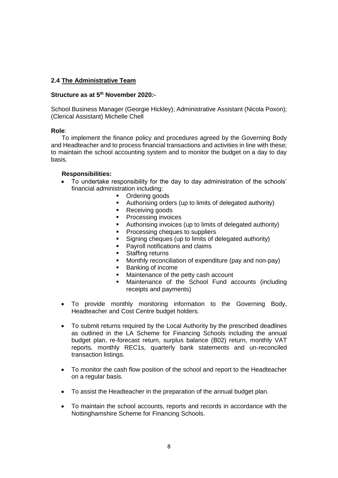#### **2.4 The Administrative Team**

#### **Structure as at 5 th November 2020***:-*

School Business Manager (Georgie Hickley); Administrative Assistant (Nicola Poxon); (Clerical Assistant) Michelle Chell

#### **Role**:

To implement the finance policy and procedures agreed by the Governing Body and Headteacher and to process financial transactions and activities in line with these; to maintain the school accounting system and to monitor the budget on a day to day basis.

#### **Responsibilities:**

- To undertake responsibility for the day to day administration of the schools' financial administration including:
	- Ordering goods
	- Authorising orders (up to limits of delegated authority)
	- Receiving goods
	- Processing invoices
	- Authorising invoices (up to limits of delegated authority)
	- Processing cheques to suppliers
	- Signing cheques (up to limits of delegated authority)
	- Payroll notifications and claims
	- Staffing returns
	- Monthly reconciliation of expenditure (pay and non-pay)
	- Banking of income
	- Maintenance of the petty cash account
	- Maintenance of the School Fund accounts (including receipts and payments)
- To provide monthly monitoring information to the Governing Body, Headteacher and Cost Centre budget holders.
- To submit returns required by the Local Authority by the prescribed deadlines as outlined in the LA Scheme for Financing Schools including the annual budget plan, re-forecast return, surplus balance (B02) return, monthly VAT reports*,* monthly REC1s, quarterly bank statements and un-reconciled transaction listings.
- To monitor the cash flow position of the school and report to the Headteacher on a regular basis.
- To assist the Headteacher in the preparation of the annual budget plan.
- To maintain the school accounts, reports and records in accordance with the Nottinghamshire Scheme for Financing Schools.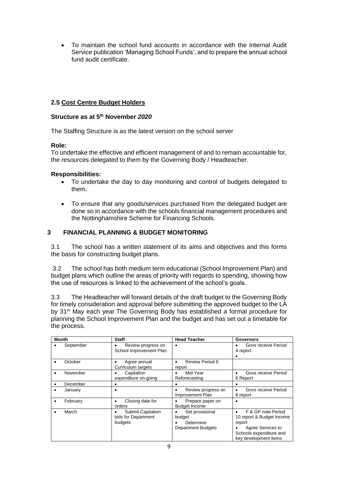• To maintain the school fund accounts in accordance with the Internal Audit Service publication 'Managing School Funds', and to prepare the annual school fund audit certificate.

# **2.5 Cost Centre Budget Holders**

# **Structure as at 5 th November** *2020*

The Staffing Structure is as the latest version on the school server

# **Role:**

To undertake the effective and efficient management of and to remain accountable for, the resources delegated to them by the Governing Body / Headteacher.

# **Responsibilities:**

- To undertake the day to day monitoring and control of budgets delegated to them.
- To ensure that any goods/services purchased from the delegated budget are done so in accordance with the schools financial management procedures and the Nottinghamshire Scheme for Financing Schools.

# **3 FINANCIAL PLANNING & BUDGET MONITORING**

3.1 The school has a written statement of its aims and objectives and this forms the basis for constructing budget plans.

3.2 The school has both medium term educational (School Improvement Plan) and budget plans which outline the areas of priority with regards to spending, showing how the use of resources is linked to the achievement of the school's goals.

3.3 The Headteacher will forward details of the draft budget to the Governing Body for timely consideration and approval before submitting the approved budget to the LA by 31<sup>st</sup> May each year. The Governing Body has established a formal procedure for planning the School Improvement Plan and the budget and has set out a timetable for the process.

| <b>Month</b> |           | <b>Staff</b>                                               | <b>Head Teacher</b>                                                 | <b>Governors</b>                                                                                                                   |
|--------------|-----------|------------------------------------------------------------|---------------------------------------------------------------------|------------------------------------------------------------------------------------------------------------------------------------|
|              | September | Review progress on<br>School Improvement Plan              | $\bullet$                                                           | Govs receive Period<br>4 report.                                                                                                   |
|              | October   | Agree annual<br>Curriculum targets                         | Review Period 6<br>$\bullet$<br>report                              |                                                                                                                                    |
|              | November  | Capitation<br>expenditure on-going                         | Mid-Year<br>٠<br>Reforecasting                                      | Govs receive Period<br>6 Report                                                                                                    |
|              | December  |                                                            | ٠                                                                   |                                                                                                                                    |
|              | January   | ٠                                                          | Review progress on<br>٠<br>Improvement Plan                         | Govs receive Period<br>8 report                                                                                                    |
|              | February  | Closing date for<br>orders                                 | Prepare paper on<br><b>Budget Income</b>                            |                                                                                                                                    |
|              | March     | <b>Submit Capitation</b><br>bids for Department<br>budgets | Set provisional<br>budget<br>Determine<br><b>Department Budgets</b> | F & GP note Period<br>10 report & Budget Income<br>report<br>Agree Services to<br>Schools expenditure and<br>key development items |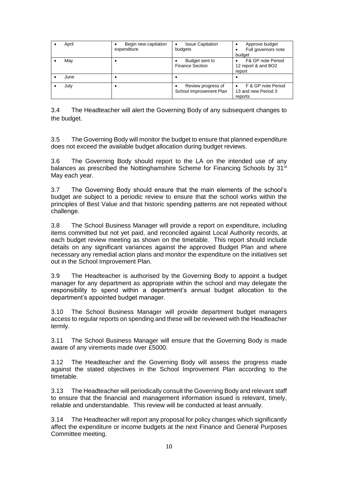| April | Begin new capitation<br>expenditure | <b>Issue Capitation</b><br>budgets            | Approve budget<br>٠<br>Full governors note<br>budget |
|-------|-------------------------------------|-----------------------------------------------|------------------------------------------------------|
| May   |                                     | Budget sent to<br><b>Finance Section</b>      | F& GP note Period<br>12 report & and BO2<br>report   |
| June  |                                     |                                               |                                                      |
| July  |                                     | Review progress of<br>School Improvement Plan | F & GP note Period<br>13 and new Period 3<br>reports |

3.4 The Headteacher will alert the Governing Body of any subsequent changes to the budget.

3.5 The Governing Body will monitor the budget to ensure that planned expenditure does not exceed the available budget allocation during budget reviews.

3.6 The Governing Body should report to the LA on the intended use of any balances as prescribed the Nottinghamshire Scheme for Financing Schools by 31<sup>st</sup> May each year.

3.7 The Governing Body should ensure that the main elements of the school's budget are subject to a periodic review to ensure that the school works within the principles of Best Value and that historic spending patterns are not repeated without challenge.

3.8 The School Business Manager will provide a report on expenditure, including items committed but not yet paid, and reconciled against Local Authority records, at each budget review meeting as shown on the timetable*.* This report should include details on any significant variances against the approved Budget Plan and where necessary any remedial action plans and monitor the expenditure on the initiatives set out in the School Improvement Plan.

3.9 The Headteacher is authorised by the Governing Body to appoint a budget manager for any department as appropriate within the school and may delegate the responsibility to spend within a department's annual budget allocation to the department's appointed budget manager.

3.10 The School Business Manager will provide department budget managers access to regular reports on spending and these will be reviewed with the Headteacher termly.

3.11 The School Business Manager will ensure that the Governing Body is made aware of any virements made over £5000.

3.12 The Headteacher and the Governing Body will assess the progress made against the stated objectives in the School Improvement Plan according to the timetable.

3.13 The Headteacher will periodically consult the Governing Body and relevant staff to ensure that the financial and management information issued is relevant, timely, reliable and understandable. This review will be conducted at least annually.

3.14 The Headteacher will report any proposal for policy changes which significantly affect the expenditure or income budgets at the next Finance and General Purposes Committee meeting.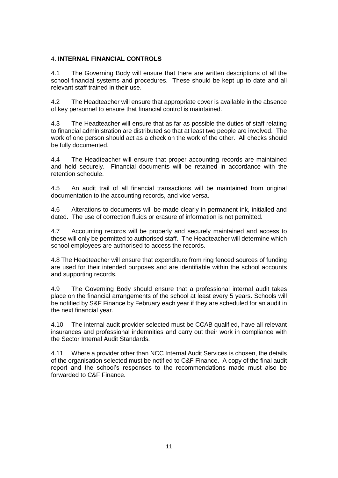# 4. **INTERNAL FINANCIAL CONTROLS**

4.1 The Governing Body will ensure that there are written descriptions of all the school financial systems and procedures. These should be kept up to date and all relevant staff trained in their use.

4.2 The Headteacher will ensure that appropriate cover is available in the absence of key personnel to ensure that financial control is maintained.

4.3 The Headteacher will ensure that as far as possible the duties of staff relating to financial administration are distributed so that at least two people are involved. The work of one person should act as a check on the work of the other. All checks should be fully documented.

4.4 The Headteacher will ensure that proper accounting records are maintained and held securely. Financial documents will be retained in accordance with the retention schedule.

4.5 An audit trail of all financial transactions will be maintained from original documentation to the accounting records, and vice versa.

4.6 Alterations to documents will be made clearly in permanent ink, initialled and dated. The use of correction fluids or erasure of information is not permitted.

4.7 Accounting records will be properly and securely maintained and access to these will only be permitted to authorised staff. The Headteacher will determine which school employees are authorised to access the records.

4.8 The Headteacher will ensure that expenditure from ring fenced sources of funding are used for their intended purposes and are identifiable within the school accounts and supporting records.

4.9 The Governing Body should ensure that a professional internal audit takes place on the financial arrangements of the school at least every 5 years. Schools will be notified by S&F Finance by February each year if they are scheduled for an audit in the next financial year.

4.10 The internal audit provider selected must be CCAB qualified, have all relevant insurances and professional indemnities and carry out their work in compliance with the Sector Internal Audit Standards.

4.11 Where a provider other than NCC Internal Audit Services is chosen, the details of the organisation selected must be notified to C&F Finance. A copy of the final audit report and the school's responses to the recommendations made must also be forwarded to C&F Finance.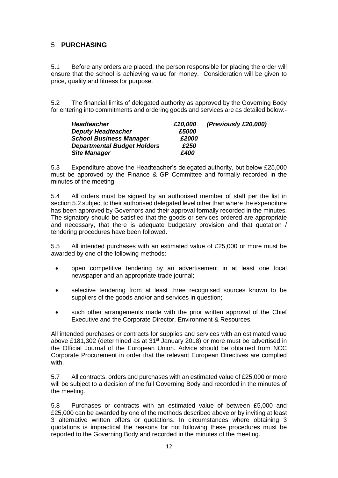# 5 **PURCHASING**

5.1 Before any orders are placed, the person responsible for placing the order will ensure that the school is achieving value for money. Consideration will be given to price, quality and fitness for purpose.

5.2 The financial limits of delegated authority as approved by the Governing Body for entering into commitments and ordering goods and services are as detailed below:-

| <b>Headteacher</b>                 | £10,000 | (Previously £20,000) |
|------------------------------------|---------|----------------------|
| <b>Deputy Headteacher</b>          | £5000   |                      |
| <b>School Business Manager</b>     | £2000   |                      |
| <b>Departmental Budget Holders</b> | £250    |                      |
| <b>Site Manager</b>                | £400    |                      |

5.3 Expenditure above the Headteacher's delegated authority, but below £25,000 must be approved by the Finance & GP Committee and formally recorded in the minutes of the meeting.

5.4 All orders must be signed by an authorised member of staff per the list in section 5.2 subject to their authorised delegated level other than where the expenditure has been approved by Governors and their approval formally recorded in the minutes. The signatory should be satisfied that the goods or services ordered are appropriate and necessary, that there is adequate budgetary provision and that quotation / tendering procedures have been followed.

5.5 All intended purchases with an estimated value of £25,000 or more must be awarded by one of the following methods:-

- open competitive tendering by an advertisement in at least one local newspaper and an appropriate trade journal;
- selective tendering from at least three recognised sources known to be suppliers of the goods and/or and services in question;
- such other arrangements made with the prior written approval of the Chief Executive and the Corporate Director, Environment & Resources.

All intended purchases or contracts for supplies and services with an estimated value above £181,302 (determined as at 31st January 2018) or more must be advertised in the Official Journal of the European Union. Advice should be obtained from NCC Corporate Procurement in order that the relevant European Directives are complied with.

5.7 All contracts, orders and purchases with an estimated value of £25,000 or more will be subject to a decision of the full Governing Body and recorded in the minutes of the meeting.

5.8 Purchases or contracts with an estimated value of between £5,000 and £25,000 can be awarded by one of the methods described above or by inviting at least 3 alternative written offers or quotations. In circumstances where obtaining 3 quotations is impractical the reasons for not following these procedures must be reported to the Governing Body and recorded in the minutes of the meeting.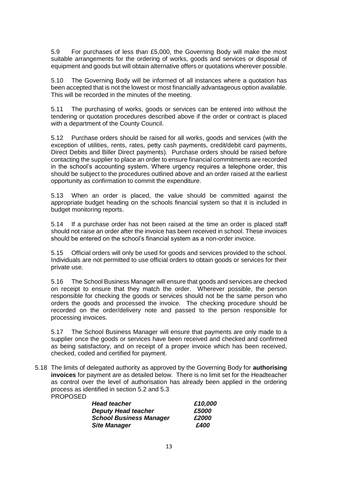5.9 For purchases of less than £5,000, the Governing Body will make the most suitable arrangements for the ordering of works, goods and services or disposal of equipment and goods but will obtain alternative offers or quotations wherever possible.

5.10 The Governing Body will be informed of all instances where a quotation has been accepted that is not the lowest or most financially advantageous option available. This will be recorded in the minutes of the meeting.

5.11 The purchasing of works, goods or services can be entered into without the tendering or quotation procedures described above if the order or contract is placed with a department of the County Council.

5.12 Purchase orders should be raised for all works, goods and services (with the exception of utilities, rents, rates, petty cash payments, credit/debit card payments, Direct Debits and Biller Direct payments). Purchase orders should be raised before contacting the supplier to place an order to ensure financial commitments are recorded in the school's accounting system. Where urgency requires a telephone order, this should be subject to the procedures outlined above and an order raised at the earliest opportunity as confirmation to commit the expenditure.

5.13 When an order is placed, the value should be committed against the appropriate budget heading on the schools financial system so that it is included in budget monitoring reports.

5.14 If a purchase order has not been raised at the time an order is placed staff should not raise an order after the invoice has been received in school. These invoices should be entered on the school's financial system as a non-order invoice.

5.15 Official orders will only be used for goods and services provided to the school. Individuals are not permitted to use official orders to obtain goods or services for their private use.

5.16 The School Business Manager will ensure that goods and services are checked on receipt to ensure that they match the order. Wherever possible, the person responsible for checking the goods or services should not be the same person who orders the goods and processed the invoice. The checking procedure should be recorded on the order/delivery note and passed to the person responsible for processing invoices.

5.17 The School Business Manager will ensure that payments are only made to a supplier once the goods or services have been received and checked and confirmed as being satisfactory, and on receipt of a proper invoice which has been received, checked, coded and certified for payment.

5.18 The limits of delegated authority as approved by the Governing Body for **authorising invoices** for payment are as detailed below. There is no limit set for the Headteacher as control over the level of authorisation has already been applied in the ordering process as identified in section 5.2 and 5.3 **PROPOSED** 

| <b>Head teacher</b>            | £10,000 |  |
|--------------------------------|---------|--|
| <b>Deputy Head teacher</b>     | £5000   |  |
| <b>School Business Manager</b> | £2000   |  |
| <b>Site Manager</b>            | £400    |  |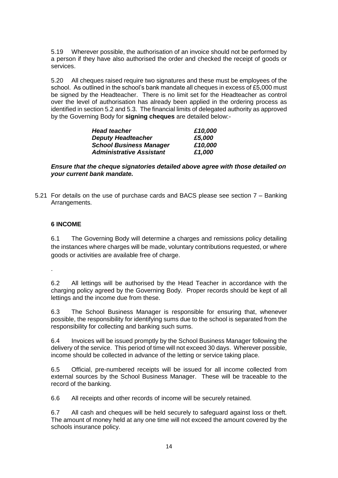5.19 Wherever possible, the authorisation of an invoice should not be performed by a person if they have also authorised the order and checked the receipt of goods or services.

5.20 All cheques raised require two signatures and these must be employees of the school. As outlined in the school's bank mandate all cheques in excess of £5,000 must be signed by the Headteacher. There is no limit set for the Headteacher as control over the level of authorisation has already been applied in the ordering process as identified in section 5.2 and 5.3. The financial limits of delegated authority as approved by the Governing Body for **signing cheques** are detailed below:-

| <b>Head teacher</b>             | £10,000 |  |
|---------------------------------|---------|--|
| <b>Deputy Headteacher</b>       | £5,000  |  |
| <b>School Business Manager</b>  | £10,000 |  |
| <b>Administrative Assistant</b> | £1,000  |  |

#### *Ensure that the cheque signatories detailed above agree with those detailed on your current bank mandate.*

5.21 For details on the use of purchase cards and BACS please see section 7 – Banking Arrangements.

# **6 INCOME**

6.1 The Governing Body will determine a charges and remissions policy detailing the instances where charges will be made, voluntary contributions requested, or where goods or activities are available free of charge.

.

6.2 All lettings will be authorised by the Head Teacher in accordance with the charging policy agreed by the Governing Body. Proper records should be kept of all lettings and the income due from these.

6.3 The School Business Manager is responsible for ensuring that, whenever possible, the responsibility for identifying sums due to the school is separated from the responsibility for collecting and banking such sums.

6.4 Invoices will be issued promptly by the School Business Manager following the delivery of the service. This period of time will not exceed 30 days. Wherever possible, income should be collected in advance of the letting or service taking place.

6.5 Official, pre-numbered receipts will be issued for all income collected from external sources by the School Business Manager. These will be traceable to the record of the banking.

6.6 All receipts and other records of income will be securely retained.

6.7 All cash and cheques will be held securely to safeguard against loss or theft. The amount of money held at any one time will not exceed the amount covered by the schools insurance policy.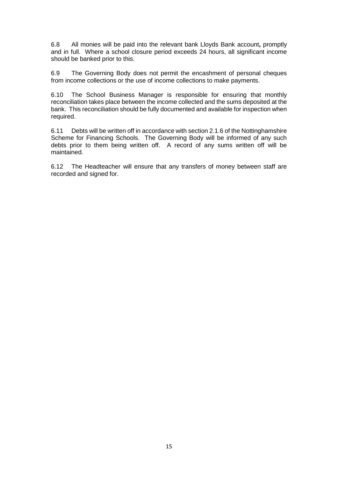6.8 All monies will be paid into the relevant bank Lloyds Bank account**,** promptly and in full. Where a school closure period exceeds 24 hours, all significant income should be banked prior to this.

6.9 The Governing Body does not permit the encashment of personal cheques from income collections or the use of income collections to make payments.

6.10 The School Business Manager is responsible for ensuring that monthly reconciliation takes place between the income collected and the sums deposited at the bank. This reconciliation should be fully documented and available for inspection when required.

6.11 Debts will be written off in accordance with section 2.1.6 of the Nottinghamshire Scheme for Financing Schools. The Governing Body will be informed of any such debts prior to them being written off. A record of any sums written off will be maintained.

6.12 The Headteacher will ensure that any transfers of money between staff are recorded and signed for.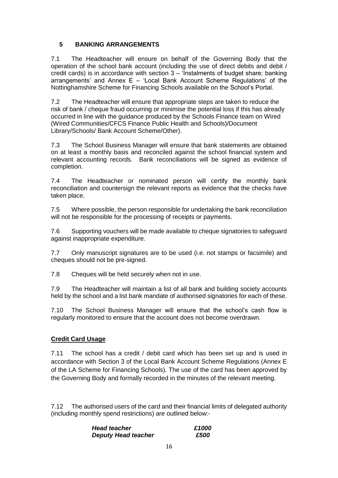# **5 BANKING ARRANGEMENTS**

7.1 The Headteacher will ensure on behalf of the Governing Body that the operation of the school bank account (including the use of direct debits and debit / credit cards) is in accordance with section 3 – 'Instalments of budget share; banking arrangements' and Annex E – 'Local Bank Account Scheme Regulations' of the Nottinghamshire Scheme for Financing Schools available on the School's Portal.

7.2 The Headteacher will ensure that appropriate steps are taken to reduce the risk of bank / cheque fraud occurring or minimise the potential loss if this has already occurred in line with the guidance produced by the Schools Finance team on Wired (Wired Communities/CFCS Finance Public Health and Schools)/Document Library/Schools/ Bank Account Scheme/Other).

7.3 The School Business Manager will ensure that bank statements are obtained on at least a monthly basis and reconciled against the school financial system and relevant accounting records. Bank reconciliations will be signed as evidence of completion.

7.4 The Headteacher or nominated person will certify the monthly bank reconciliation and countersign the relevant reports as evidence that the checks have taken place.

7.5 Where possible, the person responsible for undertaking the bank reconciliation will not be responsible for the processing of receipts or payments.

7.6 Supporting vouchers will be made available to cheque signatories to safeguard against inappropriate expenditure.

7.7 Only manuscript signatures are to be used (i.e. not stamps or facsimile) and cheques should not be pre-signed.

7.8 Cheques will be held securely when not in use.

7.9 The Headteacher will maintain a list of all bank and building society accounts held by the school and a list bank mandate of authorised signatories for each of these.

7.10 The School Business Manager will ensure that the school's cash flow is regularly monitored to ensure that the account does not become overdrawn.

#### **Credit Card Usage**

7.11 The school has a credit / debit card which has been set up and is used in accordance with Section 3 of the Local Bank Account Scheme Regulations (Annex E of the LA Scheme for Financing Schools). The use of the card has been approved by the Governing Body and formally recorded in the minutes of the relevant meeting.

7.12 The authorised users of the card and their financial limits of delegated authority (including monthly spend restrictions) are outlined below:-

| <b>Head teacher</b>        | £1000 |
|----------------------------|-------|
| <b>Deputy Head teacher</b> | £500  |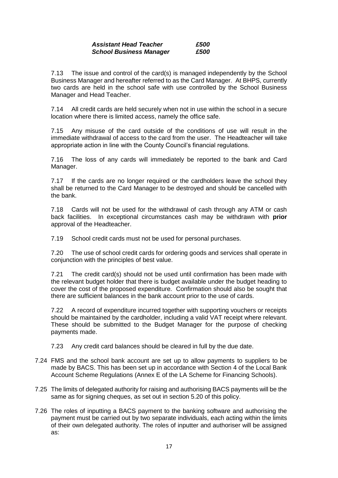#### *Assistant Head Teacher £500 School Business Manager £500*

7.13 The issue and control of the card(s) is managed independently by the School Business Manager and hereafter referred to as the Card Manager. At BHPS, currently two cards are held in the school safe with use controlled by the School Business Manager and Head Teacher.

7.14 All credit cards are held securely when not in use within the school in a secure location where there is limited access, namely the office safe.

7.15 Any misuse of the card outside of the conditions of use will result in the immediate withdrawal of access to the card from the user. The Headteacher will take appropriate action in line with the County Council's financial regulations.

7.16 The loss of any cards will immediately be reported to the bank and Card Manager.

7.17 If the cards are no longer required or the cardholders leave the school they shall be returned to the Card Manager to be destroyed and should be cancelled with the bank.

7.18 Cards will not be used for the withdrawal of cash through any ATM or cash back facilities. In exceptional circumstances cash may be withdrawn with **prior**  approval of the Headteacher.

7.19 School credit cards must not be used for personal purchases.

7.20 The use of school credit cards for ordering goods and services shall operate in conjunction with the principles of best value.

7.21 The credit card(s) should not be used until confirmation has been made with the relevant budget holder that there is budget available under the budget heading to cover the cost of the proposed expenditure. Confirmation should also be sought that there are sufficient balances in the bank account prior to the use of cards.

7.22 A record of expenditure incurred together with supporting vouchers or receipts should be maintained by the cardholder, including a valid VAT receipt where relevant. These should be submitted to the Budget Manager for the purpose of checking payments made.

7.23 Any credit card balances should be cleared in full by the due date.

- 7.24 FMS and the school bank account are set up to allow payments to suppliers to be made by BACS. This has been set up in accordance with Section 4 of the Local Bank Account Scheme Regulations (Annex E of the LA Scheme for Financing Schools).
- 7.25 The limits of delegated authority for raising and authorising BACS payments will be the same as for signing cheques, as set out in section 5.20 of this policy.
- 7.26 The roles of inputting a BACS payment to the banking software and authorising the payment must be carried out by two separate individuals, each acting within the limits of their own delegated authority. The roles of inputter and authoriser will be assigned as: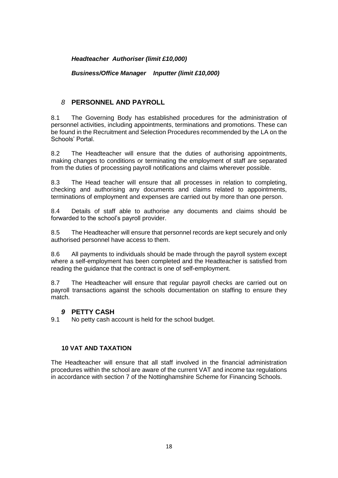*Headteacher Authoriser (limit £10,000)*

*Business/Office Manager Inputter (limit £10,000)*

# *8* **PERSONNEL AND PAYROLL**

8.1 The Governing Body has established procedures for the administration of personnel activities, including appointments, terminations and promotions. These can be found in the Recruitment and Selection Procedures recommended by the LA on the Schools' Portal.

8.2 The Headteacher will ensure that the duties of authorising appointments, making changes to conditions or terminating the employment of staff are separated from the duties of processing payroll notifications and claims wherever possible.

8.3 The Head teacher will ensure that all processes in relation to completing, checking and authorising any documents and claims related to appointments, terminations of employment and expenses are carried out by more than one person.

8.4 Details of staff able to authorise any documents and claims should be forwarded to the school's payroll provider.

8.5 The Headteacher will ensure that personnel records are kept securely and only authorised personnel have access to them.

8.6 All payments to individuals should be made through the payroll system except where a self-employment has been completed and the Headteacher is satisfied from reading the guidance that the contract is one of self-employment.

8.7 The Headteacher will ensure that regular payroll checks are carried out on payroll transactions against the schools documentation on staffing to ensure they match.

#### *9* **PETTY CASH**

9.1 No petty cash account is held for the school budget.

## **10 VAT AND TAXATION**

The Headteacher will ensure that all staff involved in the financial administration procedures within the school are aware of the current VAT and income tax regulations in accordance with section 7 of the Nottinghamshire Scheme for Financing Schools.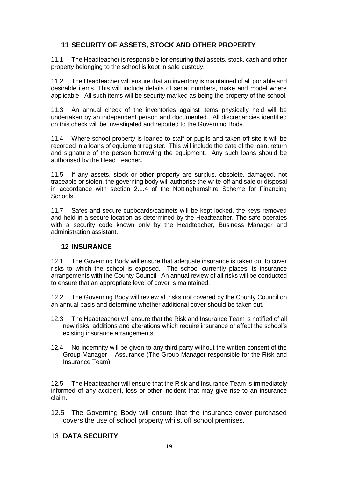# **11 SECURITY OF ASSETS, STOCK AND OTHER PROPERTY**

11.1 The Headteacher is responsible for ensuring that assets, stock, cash and other property belonging to the school is kept in safe custody.

11.2 The Headteacher will ensure that an inventory is maintained of all portable and desirable items. This will include details of serial numbers, make and model where applicable. All such items will be security marked as being the property of the school.

11.3 An annual check of the inventories against items physically held will be undertaken by an independent person and documented. All discrepancies identified on this check will be investigated and reported to the Governing Body.

11.4 Where school property is loaned to staff or pupils and taken off site it will be recorded in a loans of equipment register. This will include the date of the loan, return and signature of the person borrowing the equipment. Any such loans should be authorised by the Head Teacher**.**

11.5 If any assets, stock or other property are surplus, obsolete, damaged, not traceable or stolen, the governing body will authorise the write-off and sale or disposal in accordance with section 2.1.4 of the Nottinghamshire Scheme for Financing Schools.

11.7 Safes and secure cupboards/cabinets will be kept locked, the keys removed and held in a secure location as determined by the Headteacher. The safe operates with a security code known only by the Headteacher, Business Manager and administration assistant.

# **12 INSURANCE**

12.1 The Governing Body will ensure that adequate insurance is taken out to cover risks to which the school is exposed. The school currently places its insurance arrangements with the County Council. An annual review of all risks will be conducted to ensure that an appropriate level of cover is maintained.

12.2 The Governing Body will review all risks not covered by the County Council on an annual basis and determine whether additional cover should be taken out.

- 12.3 The Headteacher will ensure that the Risk and Insurance Team is notified of all new risks, additions and alterations which require insurance or affect the school's existing insurance arrangements.
- 12.4 No indemnity will be given to any third party without the written consent of the Group Manager – Assurance (The Group Manager responsible for the Risk and Insurance Team).

12.5 The Headteacher will ensure that the Risk and Insurance Team is immediately informed of any accident, loss or other incident that may give rise to an insurance claim.

12.5 The Governing Body will ensure that the insurance cover purchased covers the use of school property whilst off school premises.

# 13 **DATA SECURITY**